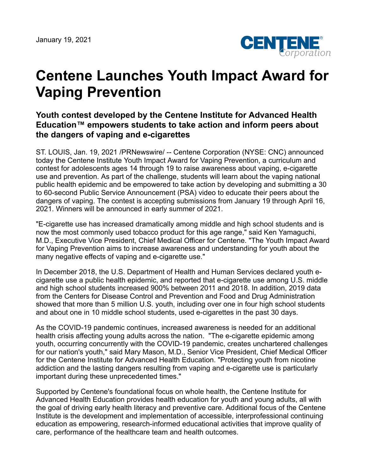

## **Centene Launches Youth Impact Award for Vaping Prevention**

## **Youth contest developed by the Centene Institute for Advanced Health Education™ empowers students to take action and inform peers about the dangers of vaping and e-cigarettes**

ST. LOUIS, Jan. 19, 2021 /PRNewswire/ -- Centene Corporation (NYSE: CNC) announced today the Centene Institute Youth Impact Award for Vaping Prevention, a curriculum and contest for adolescents ages 14 through 19 to raise awareness about vaping, e-cigarette use and prevention. As part of the challenge, students will learn about the vaping national public health epidemic and be empowered to take action by developing and submitting a 30 to 60-second Public Service Announcement (PSA) video to educate their peers about the dangers of vaping. The contest is accepting submissions from January 19 through April 16, 2021. Winners will be announced in early summer of 2021.

"E-cigarette use has increased dramatically among middle and high school students and is now the most commonly used tobacco product for this age range," said Ken Yamaguchi, M.D., Executive Vice President, Chief Medical Officer for Centene. "The Youth Impact Award for Vaping Prevention aims to increase awareness and understanding for youth about the many negative effects of vaping and e-cigarette use."

In December 2018, the U.S. Department of Health and Human Services declared youth ecigarette use a public health epidemic, and reported that e-cigarette use among U.S. middle and high school students increased 900% between 2011 and 2018. In addition, 2019 data from the Centers for Disease Control and Prevention and Food and Drug Administration showed that more than 5 million U.S. youth, including over one in four high school students and about one in 10 middle school students, used e-cigarettes in the past 30 days.

As the COVID-19 pandemic continues, increased awareness is needed for an additional health crisis affecting young adults across the nation. "The e-cigarette epidemic among youth, occurring concurrently with the COVID-19 pandemic, creates unchartered challenges for our nation's youth," said Mary Mason, M.D., Senior Vice President, Chief Medical Officer for the Centene Institute for Advanced Health Education. "Protecting youth from nicotine addiction and the lasting dangers resulting from vaping and e-cigarette use is particularly important during these unprecedented times."

Supported by Centene's foundational focus on whole health, the Centene Institute for Advanced Health Education provides health education for youth and young adults, all with the goal of driving early health literacy and preventive care. Additional focus of the Centene Institute is the development and implementation of accessible, interprofessional continuing education as empowering, research-informed educational activities that improve quality of care, performance of the healthcare team and health outcomes.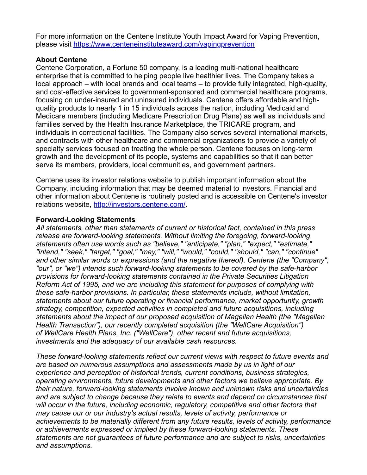For more information on the Centene Institute Youth Impact Award for Vaping Prevention, please visit <https://www.centeneinstituteaward.com/vapingprevention>

## **About Centene**

Centene Corporation, a Fortune 50 company, is a leading multi-national healthcare enterprise that is committed to helping people live healthier lives. The Company takes a local approach – with local brands and local teams – to provide fully integrated, high-quality, and cost-effective services to government-sponsored and commercial healthcare programs, focusing on under-insured and uninsured individuals. Centene offers affordable and highquality products to nearly 1 in 15 individuals across the nation, including Medicaid and Medicare members (including Medicare Prescription Drug Plans) as well as individuals and families served by the Health Insurance Marketplace, the TRICARE program, and individuals in correctional facilities. The Company also serves several international markets, and contracts with other healthcare and commercial organizations to provide a variety of specialty services focused on treating the whole person. Centene focuses on long-term growth and the development of its people, systems and capabilities so that it can better serve its members, providers, local communities, and government partners.

Centene uses its investor relations website to publish important information about the Company, including information that may be deemed material to investors. Financial and other information about Centene is routinely posted and is accessible on Centene's investor relations website, [http://investors.centene.com/.](http://investors.centene.com/)

## **Forward-Looking Statements**

*All statements, other than statements of current or historical fact, contained in this press release are forward-looking statements. Without limiting the foregoing, forward-looking statements often use words such as "believe," "anticipate," "plan," "expect," "estimate," "intend," "seek," "target," "goal," "may," "will," "would," "could," "should," "can," "continue" and other similar words or expressions (and the negative thereof). Centene (the "Company", "our", or "we") intends such forward-looking statements to be covered by the safe-harbor provisions for forward-looking statements contained in the Private Securities Litigation Reform Act of 1995, and we are including this statement for purposes of complying with these safe-harbor provisions. In particular, these statements include, without limitation, statements about our future operating or financial performance, market opportunity, growth strategy, competition, expected activities in completed and future acquisitions, including statements about the impact of our proposed acquisition of Magellan Health (the "Magellan Health Transaction"), our recently completed acquisition (the "WellCare Acquisition") of WellCare Health Plans, Inc. ("WellCare"), other recent and future acquisitions, investments and the adequacy of our available cash resources.*

*These forward-looking statements reflect our current views with respect to future events and are based on numerous assumptions and assessments made by us in light of our experience and perception of historical trends, current conditions, business strategies, operating environments, future developments and other factors we believe appropriate. By their nature, forward-looking statements involve known and unknown risks and uncertainties and are subject to change because they relate to events and depend on circumstances that will occur in the future, including economic, regulatory, competitive and other factors that may cause our or our industry's actual results, levels of activity, performance or achievements to be materially different from any future results, levels of activity, performance or achievements expressed or implied by these forward-looking statements. These statements are not guarantees of future performance and are subject to risks, uncertainties and assumptions.*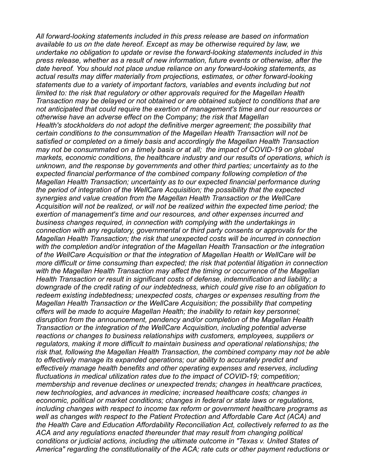*All forward-looking statements included in this press release are based on information available to us on the date hereof. Except as may be otherwise required by law, we undertake no obligation to update or revise the forward-looking statements included in this press release, whether as a result of new information, future events or otherwise, after the date hereof. You should not place undue reliance on any forward-looking statements, as actual results may differ materially from projections, estimates, or other forward-looking statements due to a variety of important factors, variables and events including but not limited to: the risk that regulatory or other approvals required for the Magellan Health Transaction may be delayed or not obtained or are obtained subject to conditions that are not anticipated that could require the exertion of management's time and our resources or otherwise have an adverse effect on the Company; the risk that Magellan Health's stockholders do not adopt the definitive merger agreement; the possibility that certain conditions to the consummation of the Magellan Health Transaction will not be satisfied or completed on a timely basis and accordingly the Magellan Health Transaction may not be consummated on a timely basis or at all; the impact of COVID-19 on global markets, economic conditions, the healthcare industry and our results of operations, which is unknown, and the response by governments and other third parties; uncertainty as to the expected financial performance of the combined company following completion of the Magellan Health Transaction; uncertainty as to our expected financial performance during the period of integration of the WellCare Acquisition; the possibility that the expected synergies and value creation from the Magellan Health Transaction or the WellCare Acquisition will not be realized, or will not be realized within the expected time period; the exertion of management's time and our resources, and other expenses incurred and business changes required, in connection with complying with the undertakings in connection with any regulatory, governmental or third party consents or approvals for the Magellan Health Transaction; the risk that unexpected costs will be incurred in connection with the completion and/or integration of the Magellan Health Transaction or the integration of the WellCare Acquisition or that the integration of Magellan Health or WellCare will be more difficult or time consuming than expected; the risk that potential litigation in connection with the Magellan Health Transaction may affect the timing or occurrence of the Magellan Health Transaction or result in significant costs of defense, indemnification and liability; a downgrade of the credit rating of our indebtedness, which could give rise to an obligation to redeem existing indebtedness; unexpected costs, charges or expenses resulting from the Magellan Health Transaction or the WellCare Acquisition; the possibility that competing offers will be made to acquire Magellan Health; the inability to retain key personnel; disruption from the announcement, pendency and/or completion of the Magellan Health Transaction or the integration of the WellCare Acquisition, including potential adverse reactions or changes to business relationships with customers, employees, suppliers or regulators, making it more difficult to maintain business and operational relationships; the risk that, following the Magellan Health Transaction, the combined company may not be able to effectively manage its expanded operations; our ability to accurately predict and effectively manage health benefits and other operating expenses and reserves, including fluctuations in medical utilization rates due to the impact of COVID-19; competition; membership and revenue declines or unexpected trends; changes in healthcare practices, new technologies, and advances in medicine; increased healthcare costs; changes in economic, political or market conditions; changes in federal or state laws or regulations, including changes with respect to income tax reform or government healthcare programs as well as changes with respect to the Patient Protection and Affordable Care Act (ACA) and the Health Care and Education Affordability Reconciliation Act, collectively referred to as the ACA and any regulations enacted thereunder that may result from changing political conditions or judicial actions, including the ultimate outcome in "Texas v. United States of America" regarding the constitutionality of the ACA; rate cuts or other payment reductions or*